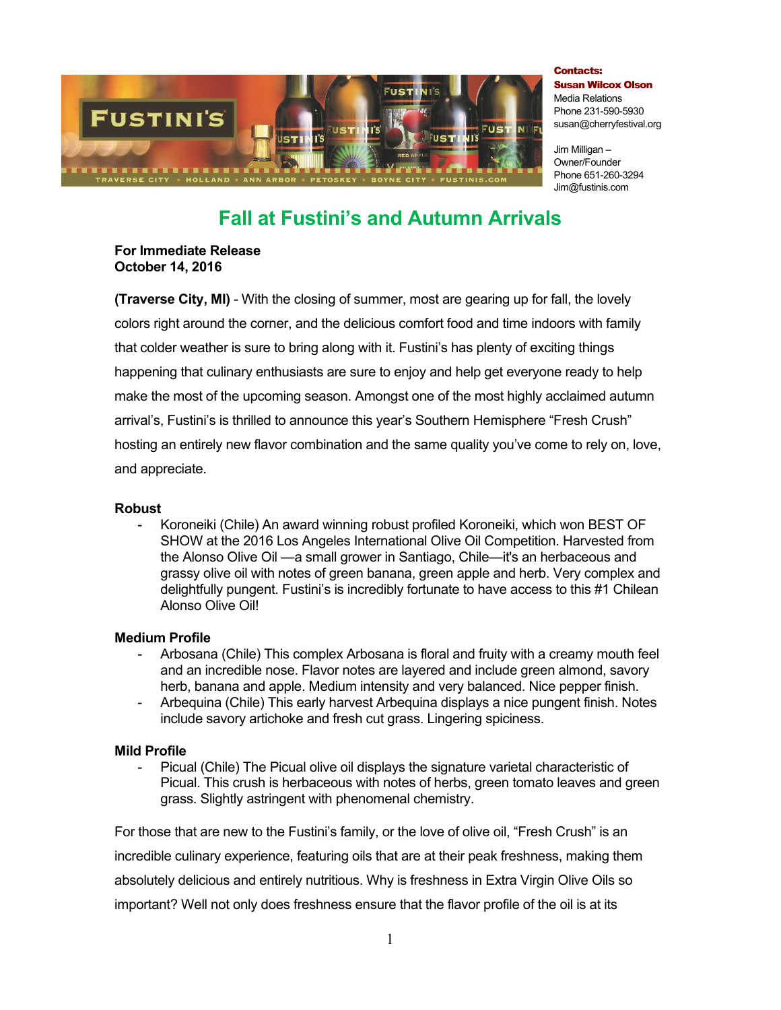

Contacts: Susan Wilcox Olson Media Relations Phone 231-590-5930 susan@cherryfestival.org

Jim Milligan – Owner/Founder Phone 651-260-3294 Jim@fustinis.com

# **Fall at Fustini's and Autumn Arrivals**

**For Immediate Release October 14, 2016**

**(Traverse City, MI)** - With the closing of summer, most are gearing up for fall, the lovely colors right around the corner, and the delicious comfort food and time indoors with family that colder weather is sure to bring along with it. Fustini's has plenty of exciting things happening that culinary enthusiasts are sure to enjoy and help get everyone ready to help make the most of the upcoming season. Amongst one of the most highly acclaimed autumn arrival's, Fustini's is thrilled to announce this year's Southern Hemisphere "Fresh Crush" hosting an entirely new flavor combination and the same quality you've come to rely on, love, and appreciate.

#### **Robust**

- Koroneiki (Chile) An award winning robust profiled Koroneiki, which won BEST OF SHOW at the 2016 Los Angeles International Olive Oil Competition. Harvested from the Alonso Olive Oil —a small grower in Santiago, Chile—it's an herbaceous and grassy olive oil with notes of green banana, green apple and herb. Very complex and delightfully pungent. Fustini's is incredibly fortunate to have access to this #1 Chilean Alonso Olive Oil!

## **Medium Profile**

- Arbosana (Chile) This complex Arbosana is floral and fruity with a creamy mouth feel and an incredible nose. Flavor notes are layered and include green almond, savory herb, banana and apple. Medium intensity and very balanced. Nice pepper finish.
- Arbequina (Chile) This early harvest Arbequina displays a nice pungent finish. Notes include savory artichoke and fresh cut grass. Lingering spiciness.

## **Mild Profile**

Picual (Chile) The Picual olive oil displays the signature varietal characteristic of Picual. This crush is herbaceous with notes of herbs, green tomato leaves and green grass. Slightly astringent with phenomenal chemistry.

For those that are new to the Fustini's family, or the love of olive oil, "Fresh Crush" is an incredible culinary experience, featuring oils that are at their peak freshness, making them absolutely delicious and entirely nutritious. Why is freshness in Extra Virgin Olive Oils so important? Well not only does freshness ensure that the flavor profile of the oil is at its